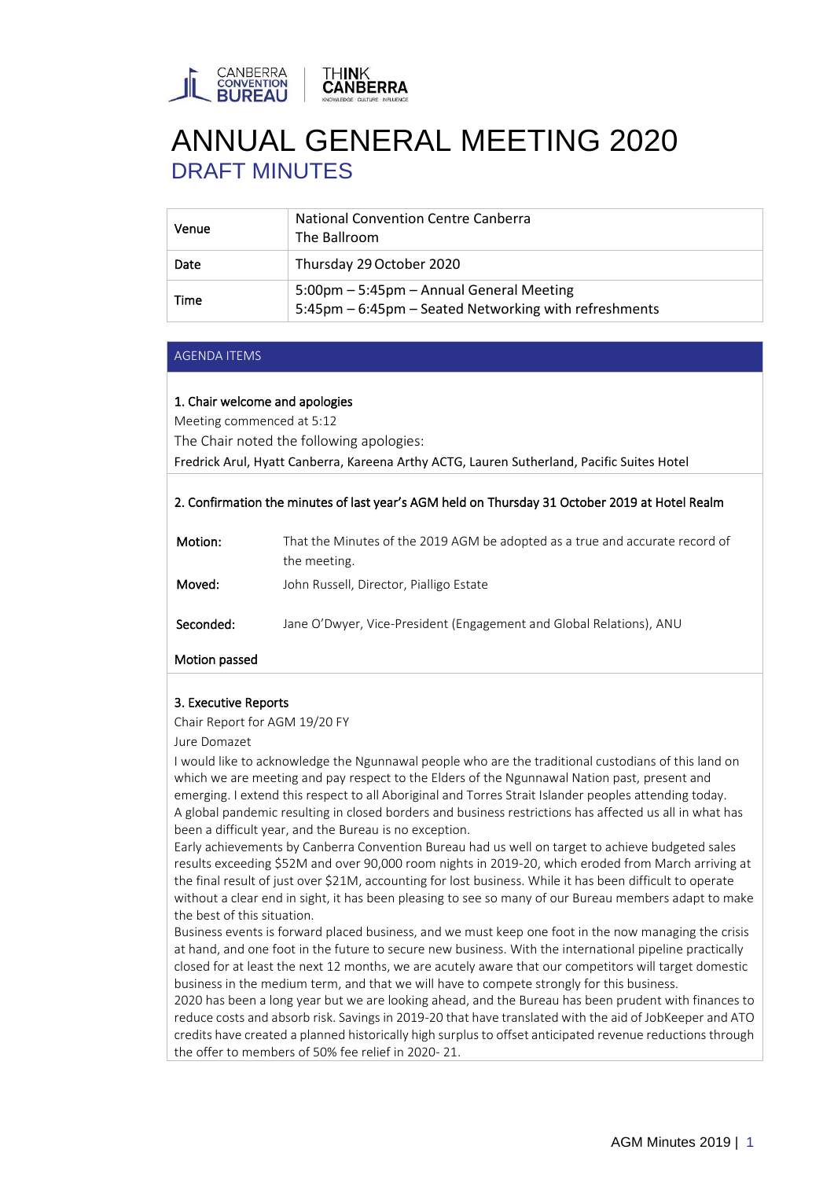

| Venue | <b>National Convention Centre Canberra</b><br>The Ballroom                                        |
|-------|---------------------------------------------------------------------------------------------------|
| Date  | Thursday 29 October 2020                                                                          |
| Time  | 5:00pm - 5:45pm - Annual General Meeting<br>5:45pm - 6:45pm - Seated Networking with refreshments |

#### AGENDA ITEMS

# 1. Chair welcome and apologies

Meeting commenced at 5:12

The Chair noted the following apologies:

Fredrick Arul, Hyatt Canberra, Kareena Arthy ACTG, Lauren Sutherland, Pacific Suites Hotel

# 2. Confirmation the minutes of last year's AGM held on Thursday 31 October 2019 at Hotel Realm

| Motion:   | That the Minutes of the 2019 AGM be adopted as a true and accurate record of<br>the meeting. |
|-----------|----------------------------------------------------------------------------------------------|
| Moved:    | John Russell, Director, Pialligo Estate                                                      |
| Seconded: | Jane O'Dwyer, Vice-President (Engagement and Global Relations), ANU                          |

# Motion passed

# 3. Executive Reports

Chair Report for AGM 19/20 FY

#### Jure Domazet

I would like to acknowledge the Ngunnawal people who are the traditional custodians of this land on which we are meeting and pay respect to the Elders of the Ngunnawal Nation past, present and emerging. I extend this respect to all Aboriginal and Torres Strait Islander peoples attending today. A global pandemic resulting in closed borders and business restrictions has affected us all in what has been a difficult year, and the Bureau is no exception.

Early achievements by Canberra Convention Bureau had us well on target to achieve budgeted sales results exceeding \$52M and over 90,000 room nights in 2019-20, which eroded from March arriving at the final result of just over \$21M, accounting for lost business. While it has been difficult to operate without a clear end in sight, it has been pleasing to see so many of our Bureau members adapt to make the best of this situation.

Business events is forward placed business, and we must keep one foot in the now managing the crisis at hand, and one foot in the future to secure new business. With the international pipeline practically closed for at least the next 12 months, we are acutely aware that our competitors will target domestic business in the medium term, and that we will have to compete strongly for this business.

2020 has been a long year but we are looking ahead, and the Bureau has been prudent with finances to reduce costs and absorb risk. Savings in 2019-20 that have translated with the aid of JobKeeper and ATO credits have created a planned historically high surplus to offset anticipated revenue reductions through the offer to members of 50% fee relief in 2020- 21.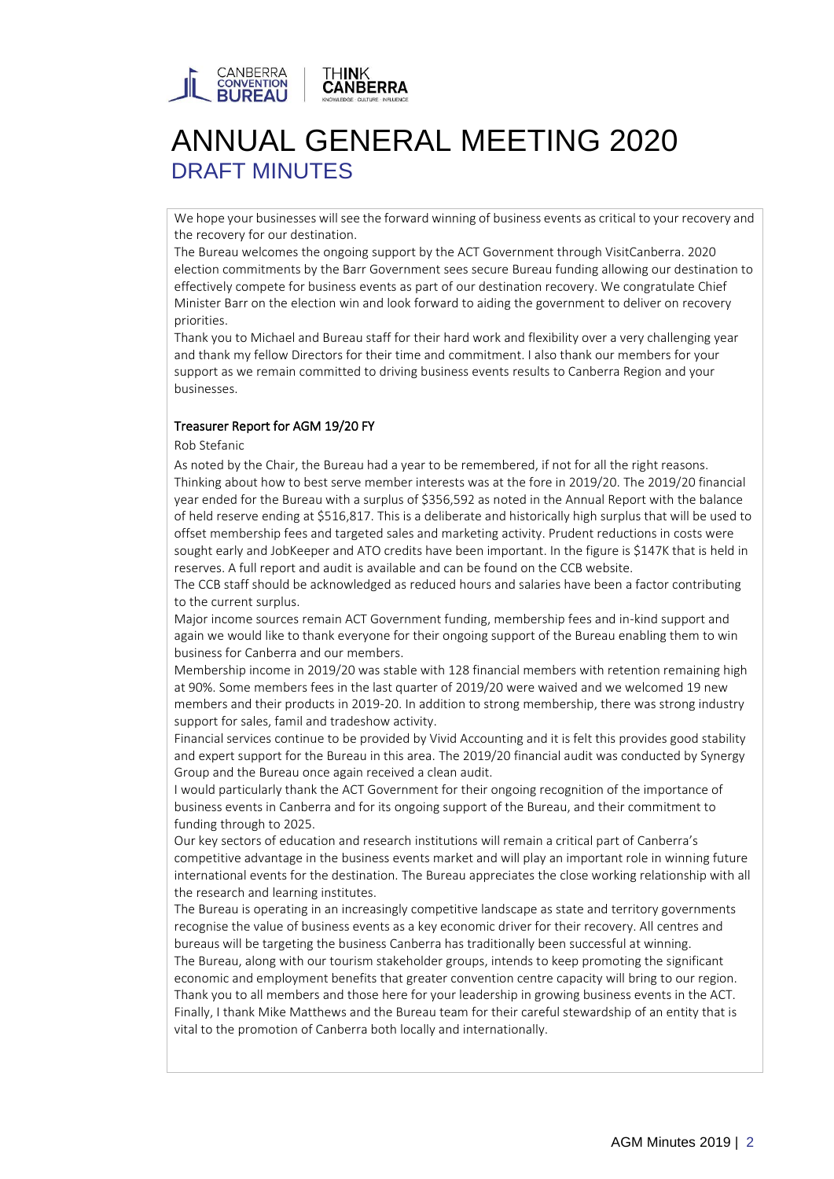

We hope your businesses will see the forward winning of business events as critical to your recovery and the recovery for our destination.

The Bureau welcomes the ongoing support by the ACT Government through VisitCanberra. 2020 election commitments by the Barr Government sees secure Bureau funding allowing our destination to effectively compete for business events as part of our destination recovery. We congratulate Chief Minister Barr on the election win and look forward to aiding the government to deliver on recovery priorities.

Thank you to Michael and Bureau staff for their hard work and flexibility over a very challenging year and thank my fellow Directors for their time and commitment. I also thank our members for your support as we remain committed to driving business events results to Canberra Region and your businesses.

# Treasurer Report for AGM 19/20 FY

Rob Stefanic

As noted by the Chair, the Bureau had a year to be remembered, if not for all the right reasons. Thinking about how to best serve member interests was at the fore in 2019/20. The 2019/20 financial year ended for the Bureau with a surplus of \$356,592 as noted in the Annual Report with the balance of held reserve ending at \$516,817. This is a deliberate and historically high surplus that will be used to offset membership fees and targeted sales and marketing activity. Prudent reductions in costs were sought early and JobKeeper and ATO credits have been important. In the figure is \$147K that is held in reserves. A full report and audit is available and can be found on the CCB website.

The CCB staff should be acknowledged as reduced hours and salaries have been a factor contributing to the current surplus.

Major income sources remain ACT Government funding, membership fees and in-kind support and again we would like to thank everyone for their ongoing support of the Bureau enabling them to win business for Canberra and our members.

Membership income in 2019/20 was stable with 128 financial members with retention remaining high at 90%. Some members fees in the last quarter of 2019/20 were waived and we welcomed 19 new members and their products in 2019-20. In addition to strong membership, there was strong industry support for sales, famil and tradeshow activity.

Financial services continue to be provided by Vivid Accounting and it is felt this provides good stability and expert support for the Bureau in this area. The 2019/20 financial audit was conducted by Synergy Group and the Bureau once again received a clean audit.

I would particularly thank the ACT Government for their ongoing recognition of the importance of business events in Canberra and for its ongoing support of the Bureau, and their commitment to funding through to 2025.

Our key sectors of education and research institutions will remain a critical part of Canberra's competitive advantage in the business events market and will play an important role in winning future international events for the destination. The Bureau appreciates the close working relationship with all the research and learning institutes.

The Bureau is operating in an increasingly competitive landscape as state and territory governments recognise the value of business events as a key economic driver for their recovery. All centres and bureaus will be targeting the business Canberra has traditionally been successful at winning.

The Bureau, along with our tourism stakeholder groups, intends to keep promoting the significant economic and employment benefits that greater convention centre capacity will bring to our region. Thank you to all members and those here for your leadership in growing business events in the ACT. Finally, I thank Mike Matthews and the Bureau team for their careful stewardship of an entity that is vital to the promotion of Canberra both locally and internationally.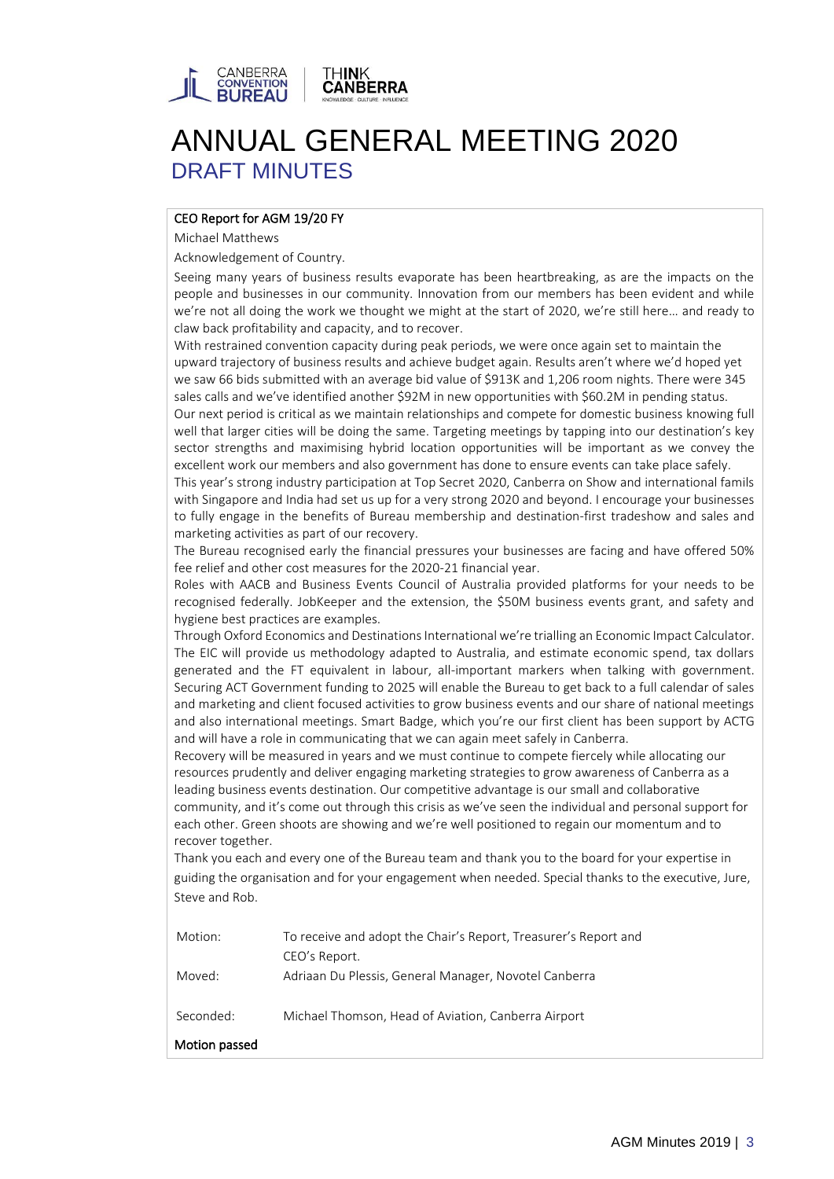

# CEO Report for AGM 19/20 FY

Michael Matthews

Acknowledgement of Country.

Seeing many years of business results evaporate has been heartbreaking, as are the impacts on the people and businesses in our community. Innovation from our members has been evident and while we're not all doing the work we thought we might at the start of 2020, we're still here… and ready to claw back profitability and capacity, and to recover.

With restrained convention capacity during peak periods, we were once again set to maintain the upward trajectory of business results and achieve budget again. Results aren't where we'd hoped yet we saw 66 bids submitted with an average bid value of \$913K and 1,206 room nights. There were 345 sales calls and we've identified another \$92M in new opportunities with \$60.2M in pending status.

Our next period is critical as we maintain relationships and compete for domestic business knowing full well that larger cities will be doing the same. Targeting meetings by tapping into our destination's key sector strengths and maximising hybrid location opportunities will be important as we convey the excellent work our members and also government has done to ensure events can take place safely.

This year's strong industry participation at Top Secret 2020, Canberra on Show and international famils with Singapore and India had set us up for a very strong 2020 and beyond. I encourage your businesses to fully engage in the benefits of Bureau membership and destination-first tradeshow and sales and marketing activities as part of our recovery.

The Bureau recognised early the financial pressures your businesses are facing and have offered 50% fee relief and other cost measures for the 2020-21 financial year.

Roles with AACB and Business Events Council of Australia provided platforms for your needs to be recognised federally. JobKeeper and the extension, the \$50M business events grant, and safety and hygiene best practices are examples.

Through Oxford Economics and Destinations International we're trialling an Economic Impact Calculator. The EIC will provide us methodology adapted to Australia, and estimate economic spend, tax dollars generated and the FT equivalent in labour, all-important markers when talking with government. Securing ACT Government funding to 2025 will enable the Bureau to get back to a full calendar of sales and marketing and client focused activities to grow business events and our share of national meetings and also international meetings. Smart Badge, which you're our first client has been support by ACTG and will have a role in communicating that we can again meet safely in Canberra.

Recovery will be measured in years and we must continue to compete fiercely while allocating our resources prudently and deliver engaging marketing strategies to grow awareness of Canberra as a leading business events destination. Our competitive advantage is our small and collaborative community, and it's come out through this crisis as we've seen the individual and personal support for each other. Green shoots are showing and we're well positioned to regain our momentum and to recover together.

Thank you each and every one of the Bureau team and thank you to the board for your expertise in guiding the organisation and for your engagement when needed. Special thanks to the executive, Jure, Steve and Rob.

| Motion:       | To receive and adopt the Chair's Report, Treasurer's Report and<br>CEO's Report. |
|---------------|----------------------------------------------------------------------------------|
| Moved:        | Adriaan Du Plessis, General Manager, Novotel Canberra                            |
| Seconded:     | Michael Thomson, Head of Aviation, Canberra Airport                              |
| Motion passed |                                                                                  |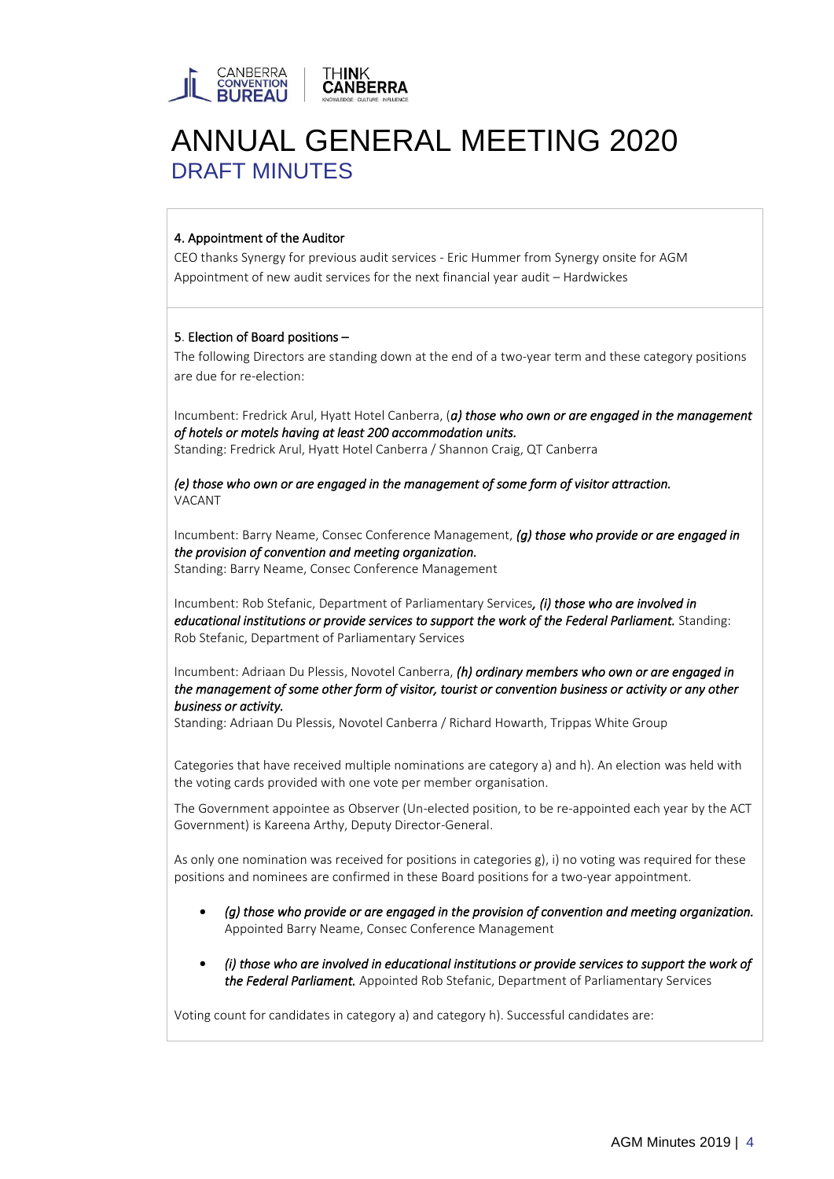

# 4. Appointment of the Auditor

CEO thanks Synergy for previous audit services - Eric Hummer from Synergy onsite for AGM Appointment of new audit services for the next financial year audit – Hardwickes

# 5. Election of Board positions –

The following Directors are standing down at the end of a two-year term and these category positions are due for re-election:

Incumbent: Fredrick Arul, Hyatt Hotel Canberra, (*a) those who own or are engaged in the management of hotels or motels having at least 200 accommodation units.*  Standing: Fredrick Arul, Hyatt Hotel Canberra / Shannon Craig, QT Canberra

*(e) those who own or are engaged in the management of some form of visitor attraction.*  VACANT

Incumbent: Barry Neame, Consec Conference Management, *(g) those who provide or are engaged in the provision of convention and meeting organization.*  Standing: Barry Neame, Consec Conference Management

Incumbent: Rob Stefanic, Department of Parliamentary Services*, (i) those who are involved in educational institutions or provide services to support the work of the Federal Parliament.* Standing: Rob Stefanic, Department of Parliamentary Services

Incumbent: Adriaan Du Plessis, Novotel Canberra, *(h) ordinary members who own or are engaged in the management of some other form of visitor, tourist or convention business or activity or any other business or activity.* 

Standing: Adriaan Du Plessis, Novotel Canberra / Richard Howarth, Trippas White Group

Categories that have received multiple nominations are category a) and h). An election was held with the voting cards provided with one vote per member organisation.

The Government appointee as Observer (Un-elected position, to be re-appointed each year by the ACT Government) is Kareena Arthy, Deputy Director-General.

As only one nomination was received for positions in categories g), i) no voting was required for these positions and nominees are confirmed in these Board positions for a two-year appointment.

- *(g) those who provide or are engaged in the provision of convention and meeting organization.*  Appointed Barry Neame, Consec Conference Management
- *(i) those who are involved in educational institutions or provide services to support the work of the Federal Parliament.* Appointed Rob Stefanic, Department of Parliamentary Services

Voting count for candidates in category a) and category h). Successful candidates are: